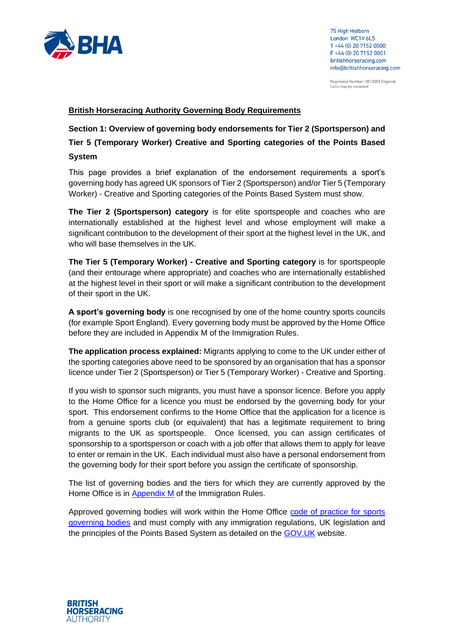

Registered Number: 2813358 England. Calls may be recorded

### **British Horseracing Authority Governing Body Requirements**

**Section 1: Overview of governing body endorsements for Tier 2 (Sportsperson) and** 

**Tier 5 (Temporary Worker) Creative and Sporting categories of the Points Based System**

This page provides a brief explanation of the endorsement requirements a sport's governing body has agreed UK sponsors of Tier 2 (Sportsperson) and/or Tier 5 (Temporary Worker) - Creative and Sporting categories of the Points Based System must show.

**The Tier 2 (Sportsperson) category** is for elite sportspeople and coaches who are internationally established at the highest level and whose employment will make a significant contribution to the development of their sport at the highest level in the UK, and who will base themselves in the UK.

**The Tier 5 (Temporary Worker) - Creative and Sporting category** is for sportspeople (and their entourage where appropriate) and coaches who are internationally established at the highest level in their sport or will make a significant contribution to the development of their sport in the UK.

**A sport's governing body** is one recognised by one of the home country sports councils (for example Sport England). Every governing body must be approved by the Home Office before they are included in Appendix M of the Immigration Rules.

**The application process explained:** Migrants applying to come to the UK under either of the sporting categories above need to be sponsored by an organisation that has a sponsor licence under Tier 2 (Sportsperson) or Tier 5 (Temporary Worker) - Creative and Sporting.

If you wish to sponsor such migrants, you must have a sponsor licence. Before you apply to the Home Office for a licence you must be endorsed by the governing body for your sport. This endorsement confirms to the Home Office that the application for a licence is from a genuine sports club (or equivalent) that has a legitimate requirement to bring migrants to the UK as sportspeople. Once licensed, you can assign certificates of sponsorship to a sportsperson or coach with a job offer that allows them to apply for leave to enter or remain in the UK. Each individual must also have a personal endorsement from the governing body for their sport before you assign the certificate of sponsorship.

The list of governing bodies and the tiers for which they are currently approved by the Home Office is in [Appendix M](https://www.gov.uk/guidance/immigration-rules/immigration-rules-appendix-m-sports-governing-bodies) of the Immigration Rules.

Approved governing bodies will work within the Home Office [code of practice for sports](https://www.gov.uk/government/uploads/system/uploads/attachment_data/file/257342/sportingcodeofpractice.pdf)  [governing bodies](https://www.gov.uk/government/uploads/system/uploads/attachment_data/file/257342/sportingcodeofpractice.pdf) and must comply with any immigration regulations, UK legislation and the principles of the Points Based System as detailed on the [GOV.UK](https://www.gov.uk/browse/visas-immigration/work-visas) website.

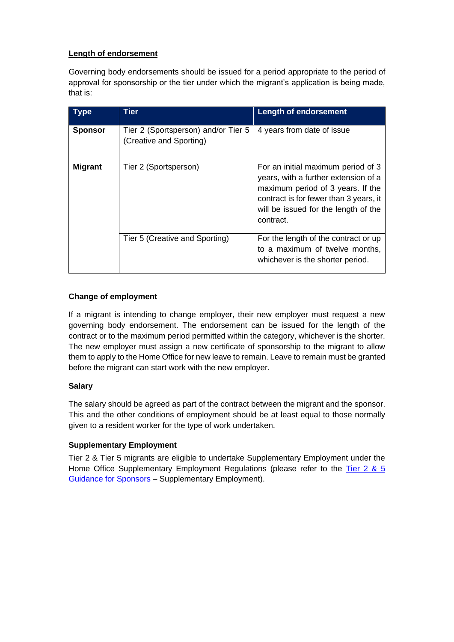# **Length of endorsement**

Governing body endorsements should be issued for a period appropriate to the period of approval for sponsorship or the tier under which the migrant's application is being made, that is:

| Type           | Tier                                                           | <b>Length of endorsement</b>                                                                                                                                                                                   |
|----------------|----------------------------------------------------------------|----------------------------------------------------------------------------------------------------------------------------------------------------------------------------------------------------------------|
| <b>Sponsor</b> | Tier 2 (Sportsperson) and/or Tier 5<br>(Creative and Sporting) | 4 years from date of issue                                                                                                                                                                                     |
| <b>Migrant</b> | Tier 2 (Sportsperson)                                          | For an initial maximum period of 3<br>years, with a further extension of a<br>maximum period of 3 years. If the<br>contract is for fewer than 3 years, it<br>will be issued for the length of the<br>contract. |
|                | Tier 5 (Creative and Sporting)                                 | For the length of the contract or up<br>to a maximum of twelve months,<br>whichever is the shorter period.                                                                                                     |

# **Change of employment**

If a migrant is intending to change employer, their new employer must request a new governing body endorsement. The endorsement can be issued for the length of the contract or to the maximum period permitted within the category, whichever is the shorter. The new employer must assign a new certificate of sponsorship to the migrant to allow them to apply to the Home Office for new leave to remain. Leave to remain must be granted before the migrant can start work with the new employer.

## **Salary**

The salary should be agreed as part of the contract between the migrant and the sponsor. This and the other conditions of employment should be at least equal to those normally given to a resident worker for the type of work undertaken.

## **Supplementary Employment**

Tier 2 & Tier 5 migrants are eligible to undertake Supplementary Employment under the Home Office Supplementary Employment Regulations (please refer to the [Tier 2 & 5](https://www.gov.uk/government/publications/sponsor-a-tier-2-or-5-worker-guidance-for-employers)  [Guidance for Sponsors](https://www.gov.uk/government/publications/sponsor-a-tier-2-or-5-worker-guidance-for-employers) – Supplementary Employment).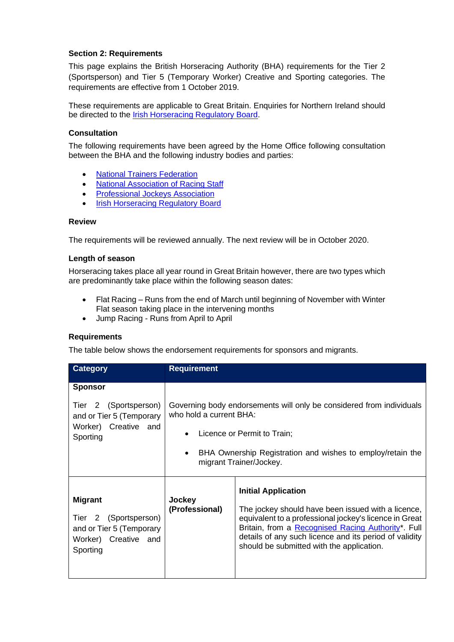## **Section 2: Requirements**

This page explains the British Horseracing Authority (BHA) requirements for the Tier 2 (Sportsperson) and Tier 5 (Temporary Worker) Creative and Sporting categories. The requirements are effective from 1 October 2019.

These requirements are applicable to Great Britain. Enquiries for Northern Ireland should be directed to the [Irish Horseracing Regulatory Board.](http://www.ihrb.ie/)

## **Consultation**

The following requirements have been agreed by the Home Office following consultation between the BHA and the following industry bodies and parties:

- [National Trainers Federation](https://www.racehorsetrainers.org/homepage/index.asp)
- [National Association of Racing](https://www.naors.co.uk/) Staff
- [Professional Jockeys Association](https://www.thepja.co.uk/)
- **[Irish Horseracing Regulatory Board](http://www.ihrb.ie/)**

#### **Review**

The requirements will be reviewed annually. The next review will be in October 2020.

#### **Length of season**

Horseracing takes place all year round in Great Britain however, there are two types which are predominantly take place within the following season dates:

- Flat Racing Runs from the end of March until beginning of November with Winter Flat season taking place in the intervening months
- Jump Racing Runs from April to April

#### **Requirements**

The table below shows the endorsement requirements for sponsors and migrants.

| <b>Category</b>                                                                                            | <b>Requirement</b>                                                                                                                                                                                                                   |                                                                                                                                                                                                                                                                                                         |
|------------------------------------------------------------------------------------------------------------|--------------------------------------------------------------------------------------------------------------------------------------------------------------------------------------------------------------------------------------|---------------------------------------------------------------------------------------------------------------------------------------------------------------------------------------------------------------------------------------------------------------------------------------------------------|
| <b>Sponsor</b>                                                                                             |                                                                                                                                                                                                                                      |                                                                                                                                                                                                                                                                                                         |
| Tier 2 (Sportsperson)<br>and or Tier 5 (Temporary<br>Worker) Creative and<br>Sporting                      | Governing body endorsements will only be considered from individuals<br>who hold a current BHA:<br>Licence or Permit to Train;<br>$\bullet$<br>BHA Ownership Registration and wishes to employ/retain the<br>migrant Trainer/Jockey. |                                                                                                                                                                                                                                                                                                         |
|                                                                                                            |                                                                                                                                                                                                                                      |                                                                                                                                                                                                                                                                                                         |
| <b>Migrant</b><br>2 (Sportsperson)<br>Tier<br>and or Tier 5 (Temporary<br>Worker) Creative and<br>Sporting | Jockey<br>(Professional)                                                                                                                                                                                                             | <b>Initial Application</b><br>The jockey should have been issued with a licence,<br>equivalent to a professional jockey's licence in Great<br>Britain, from a Recognised Racing Authority*. Full<br>details of any such licence and its period of validity<br>should be submitted with the application. |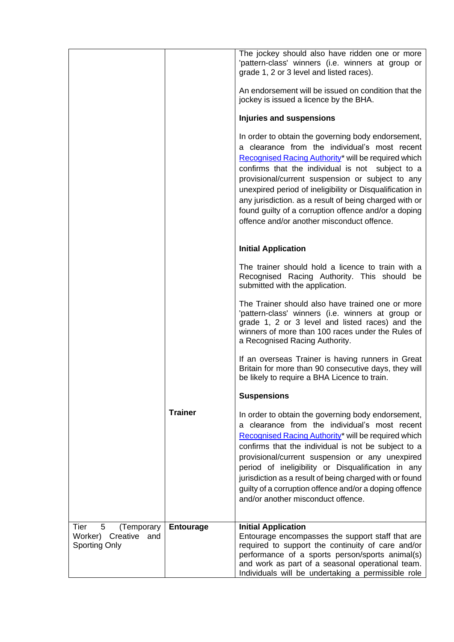|                                          |                  | The jockey should also have ridden one or more<br>'pattern-class' winners (i.e. winners at group or<br>grade 1, 2 or 3 level and listed races).                                                                                                                                                                                                                                                                                                                                                |
|------------------------------------------|------------------|------------------------------------------------------------------------------------------------------------------------------------------------------------------------------------------------------------------------------------------------------------------------------------------------------------------------------------------------------------------------------------------------------------------------------------------------------------------------------------------------|
|                                          |                  | An endorsement will be issued on condition that the<br>jockey is issued a licence by the BHA.                                                                                                                                                                                                                                                                                                                                                                                                  |
|                                          |                  | Injuries and suspensions                                                                                                                                                                                                                                                                                                                                                                                                                                                                       |
|                                          |                  | In order to obtain the governing body endorsement,<br>a clearance from the individual's most recent<br>Recognised Racing Authority* will be required which<br>confirms that the individual is not subject to a<br>provisional/current suspension or subject to any<br>unexpired period of ineligibility or Disqualification in<br>any jurisdiction. as a result of being charged with or<br>found guilty of a corruption offence and/or a doping<br>offence and/or another misconduct offence. |
|                                          |                  | <b>Initial Application</b>                                                                                                                                                                                                                                                                                                                                                                                                                                                                     |
|                                          |                  | The trainer should hold a licence to train with a<br>Recognised Racing Authority. This should be<br>submitted with the application.                                                                                                                                                                                                                                                                                                                                                            |
|                                          |                  | The Trainer should also have trained one or more<br>'pattern-class' winners (i.e. winners at group or<br>grade 1, 2 or 3 level and listed races) and the<br>winners of more than 100 races under the Rules of<br>a Recognised Racing Authority.                                                                                                                                                                                                                                                |
|                                          |                  | If an overseas Trainer is having runners in Great<br>Britain for more than 90 consecutive days, they will<br>be likely to require a BHA Licence to train.                                                                                                                                                                                                                                                                                                                                      |
|                                          |                  | <b>Suspensions</b>                                                                                                                                                                                                                                                                                                                                                                                                                                                                             |
|                                          | <b>Trainer</b>   | In order to obtain the governing body endorsement,<br>a clearance from the individual's most recent<br>Recognised Racing Authority* will be required which<br>confirms that the individual is not be subject to a<br>provisional/current suspension or any unexpired<br>period of ineligibility or Disqualification in any<br>jurisdiction as a result of being charged with or found<br>guilty of a corruption offence and/or a doping offence<br>and/or another misconduct offence.          |
| $5\overline{)}$<br>(Temporary<br>Tier    | <b>Entourage</b> | <b>Initial Application</b>                                                                                                                                                                                                                                                                                                                                                                                                                                                                     |
| Creative and<br>Worker)<br>Sporting Only |                  | Entourage encompasses the support staff that are<br>required to support the continuity of care and/or<br>performance of a sports person/sports animal(s)<br>and work as part of a seasonal operational team.<br>Individuals will be undertaking a permissible role                                                                                                                                                                                                                             |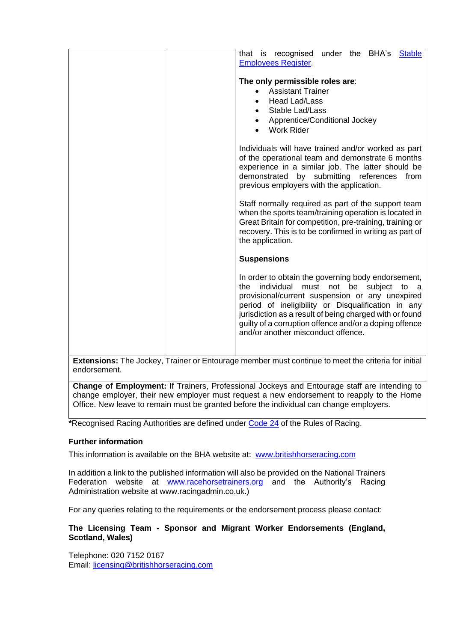|                                                                                                    | BHA's<br>that is recognised<br>under<br>the<br><b>Stable</b><br><b>Employees Register</b>                           |  |
|----------------------------------------------------------------------------------------------------|---------------------------------------------------------------------------------------------------------------------|--|
|                                                                                                    | The only permissible roles are:                                                                                     |  |
|                                                                                                    | <b>Assistant Trainer</b>                                                                                            |  |
|                                                                                                    | <b>Head Lad/Lass</b>                                                                                                |  |
|                                                                                                    | Stable Lad/Lass                                                                                                     |  |
|                                                                                                    | Apprentice/Conditional Jockey<br><b>Work Rider</b>                                                                  |  |
|                                                                                                    | Individuals will have trained and/or worked as part                                                                 |  |
|                                                                                                    | of the operational team and demonstrate 6 months                                                                    |  |
|                                                                                                    | experience in a similar job. The latter should be<br>demonstrated by submitting<br>references<br>from               |  |
|                                                                                                    | previous employers with the application.                                                                            |  |
|                                                                                                    | Staff normally required as part of the support team                                                                 |  |
|                                                                                                    | when the sports team/training operation is located in                                                               |  |
|                                                                                                    | Great Britain for competition, pre-training, training or<br>recovery. This is to be confirmed in writing as part of |  |
|                                                                                                    | the application.                                                                                                    |  |
|                                                                                                    | <b>Suspensions</b>                                                                                                  |  |
|                                                                                                    |                                                                                                                     |  |
|                                                                                                    | In order to obtain the governing body endorsement,                                                                  |  |
|                                                                                                    | individual<br>subject<br>the<br>must<br>not be<br>to<br>a<br>provisional/current suspension or any unexpired        |  |
|                                                                                                    | period of ineligibility or Disqualification in any                                                                  |  |
|                                                                                                    | jurisdiction as a result of being charged with or found                                                             |  |
|                                                                                                    | guilty of a corruption offence and/or a doping offence<br>and/or another misconduct offence.                        |  |
|                                                                                                    |                                                                                                                     |  |
|                                                                                                    |                                                                                                                     |  |
| Extensions: The Jockey, Trainer or Entourage member must continue to meet the criteria for initial |                                                                                                                     |  |

endorsement.

**Change of Employment:** If Trainers, Professional Jockeys and Entourage staff are intending to change employer, their new employer must request a new endorsement to reapply to the Home Office. New leave to remain must be granted before the individual can change employers.

**\***Recognised Racing Authorities are defined under [Code 24](http://rules.britishhorseracing.com/#!/book/34/chapter/s3596-definitions/content) of the Rules of Racing.

## **Further information**

This information is available on the BHA website at: [www.britishhorseracing.com](http://www.britishhorseracing.com/)

In addition a link to the published information will also be provided on the National Trainers Federation website at [www.racehorsetrainers.org](http://www.racehorsetrainers.org/) and the Authority's Racing Administration website at www.racingadmin.co.uk.)

For any queries relating to the requirements or the endorsement process please contact:

## **The Licensing Team - Sponsor and Migrant Worker Endorsements (England, Scotland, Wales)**

Telephone: 020 7152 0167 Email: [licensing@britishhorseracing.com](mailto:licensing@britishhorseracing.com)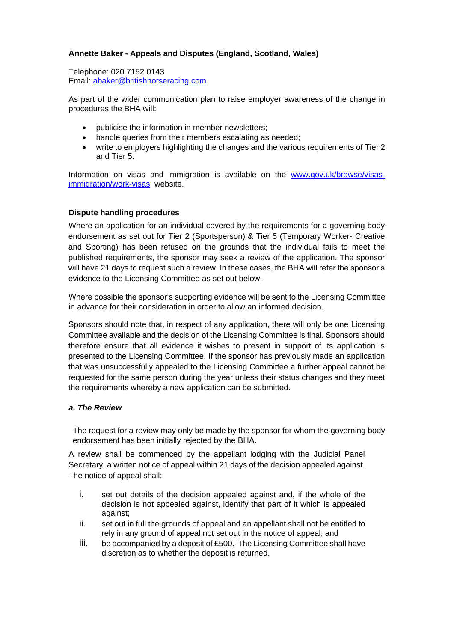## **Annette Baker - Appeals and Disputes (England, Scotland, Wales)**

Telephone: 020 7152 0143 Email: [abaker@britishhorseracing.com](mailto:abaker@britishhorseracing.com)

As part of the wider communication plan to raise employer awareness of the change in procedures the BHA will:

- publicise the information in member newsletters;
- handle queries from their members escalating as needed;
- write to employers highlighting the changes and the various requirements of Tier 2 and Tier 5.

Information on visas and immigration is available on the [www.gov.uk/browse/visas](http://www.gov.uk/browse/visas-immigration/work-visas)[immigration/work-visas](http://www.gov.uk/browse/visas-immigration/work-visas) website.

### **Dispute handling procedures**

Where an application for an individual covered by the requirements for a governing body endorsement as set out for Tier 2 (Sportsperson) & Tier 5 (Temporary Worker- Creative and Sporting) has been refused on the grounds that the individual fails to meet the published requirements, the sponsor may seek a review of the application. The sponsor will have 21 days to request such a review. In these cases, the BHA will refer the sponsor's evidence to the Licensing Committee as set out below.

Where possible the sponsor's supporting evidence will be sent to the Licensing Committee in advance for their consideration in order to allow an informed decision.

Sponsors should note that, in respect of any application, there will only be one Licensing Committee available and the decision of the Licensing Committee is final. Sponsors should therefore ensure that all evidence it wishes to present in support of its application is presented to the Licensing Committee. If the sponsor has previously made an application that was unsuccessfully appealed to the Licensing Committee a further appeal cannot be requested for the same person during the year unless their status changes and they meet the requirements whereby a new application can be submitted.

#### *a. The Review*

The request for a review may only be made by the sponsor for whom the governing body endorsement has been initially rejected by the BHA.

A review shall be commenced by the appellant lodging with the Judicial Panel Secretary, a written notice of appeal within 21 days of the decision appealed against. The notice of appeal shall:

- i. set out details of the decision appealed against and, if the whole of the decision is not appealed against, identify that part of it which is appealed against;
- ii. set out in full the grounds of appeal and an appellant shall not be entitled to rely in any ground of appeal not set out in the notice of appeal; and
- iii. be accompanied by a deposit of £500. The Licensing Committee shall have discretion as to whether the deposit is returned.